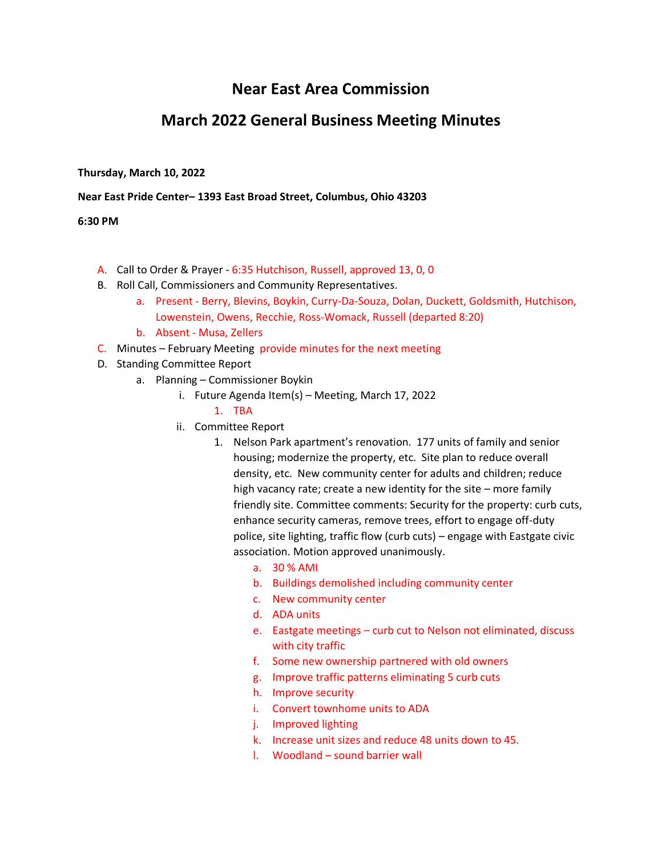# **Near East Area Commission**

## **March 2022 General Business Meeting Minutes**

#### **Thursday, March 10, 2022**

#### **Near East Pride Center– 1393 East Broad Street, Columbus, Ohio 43203**

#### **6:30 PM**

- A. Call to Order & Prayer 6:35 Hutchison, Russell, approved 13, 0, 0
- B. Roll Call, Commissioners and Community Representatives.
	- a. Present Berry, Blevins, Boykin, Curry-Da-Souza, Dolan, Duckett, Goldsmith, Hutchison, Lowenstein, Owens, Recchie, Ross-Womack, Russell (departed 8:20)
	- b. Absent Musa, Zellers
- C. Minutes February Meeting provide minutes for the next meeting
- D. Standing Committee Report
	- a. Planning Commissioner Boykin
		- i. Future Agenda Item(s) Meeting, March 17, 2022
			- 1. TBA
		- ii. Committee Report
			- 1. Nelson Park apartment's renovation. 177 units of family and senior housing; modernize the property, etc. Site plan to reduce overall density, etc. New community center for adults and children; reduce high vacancy rate; create a new identity for the site – more family friendly site. Committee comments: Security for the property: curb cuts, enhance security cameras, remove trees, effort to engage off-duty police, site lighting, traffic flow (curb cuts) – engage with Eastgate civic association. Motion approved unanimously.
				- a. 30 % AMI
				- b. Buildings demolished including community center
				- c. New community center
				- d. ADA units
				- e. Eastgate meetings curb cut to Nelson not eliminated, discuss with city traffic
				- f. Some new ownership partnered with old owners
				- g. Improve traffic patterns eliminating 5 curb cuts
				- h. Improve security
				- i. Convert townhome units to ADA
				- j. Improved lighting
				- k. Increase unit sizes and reduce 48 units down to 45.
				- l. Woodland sound barrier wall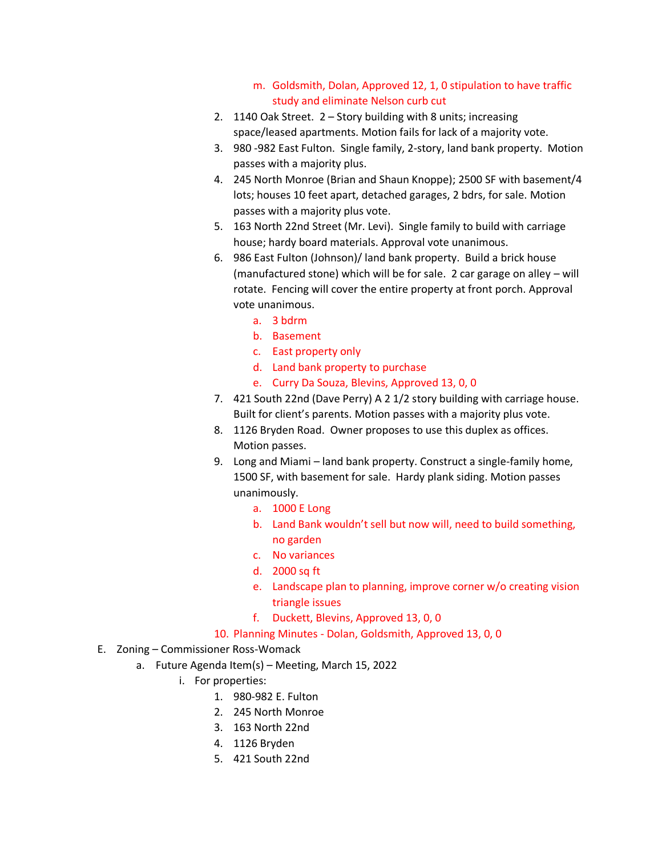- m. Goldsmith, Dolan, Approved 12, 1, 0 stipulation to have traffic study and eliminate Nelson curb cut
- 2. 1140 Oak Street. 2 Story building with 8 units; increasing space/leased apartments. Motion fails for lack of a majority vote.
- 3. 980 -982 East Fulton. Single family, 2-story, land bank property. Motion passes with a majority plus.
- 4. 245 North Monroe (Brian and Shaun Knoppe); 2500 SF with basement/4 lots; houses 10 feet apart, detached garages, 2 bdrs, for sale. Motion passes with a majority plus vote.
- 5. 163 North 22nd Street (Mr. Levi). Single family to build with carriage house; hardy board materials. Approval vote unanimous.
- 6. 986 East Fulton (Johnson)/ land bank property. Build a brick house (manufactured stone) which will be for sale. 2 car garage on alley – will rotate. Fencing will cover the entire property at front porch. Approval vote unanimous.
	- a. 3 bdrm
	- b. Basement
	- c. East property only
	- d. Land bank property to purchase
	- e. Curry Da Souza, Blevins, Approved 13, 0, 0
- 7. 421 South 22nd (Dave Perry) A 2 1/2 story building with carriage house. Built for client's parents. Motion passes with a majority plus vote.
- 8. 1126 Bryden Road. Owner proposes to use this duplex as offices. Motion passes.
- 9. Long and Miami land bank property. Construct a single-family home, 1500 SF, with basement for sale. Hardy plank siding. Motion passes unanimously.
	- a. 1000 E Long
	- b. Land Bank wouldn't sell but now will, need to build something, no garden
	- c. No variances
	- d. 2000 sq ft
	- e. Landscape plan to planning, improve corner w/o creating vision triangle issues
	- f. Duckett, Blevins, Approved 13, 0, 0
- 10. Planning Minutes Dolan, Goldsmith, Approved 13, 0, 0
- E. Zoning Commissioner Ross-Womack
	- a. Future Agenda Item(s) Meeting, March 15, 2022
		- i. For properties:
			- 1. 980-982 E. Fulton
			- 2. 245 North Monroe
			- 3. 163 North 22nd
			- 4. 1126 Bryden
			- 5. 421 South 22nd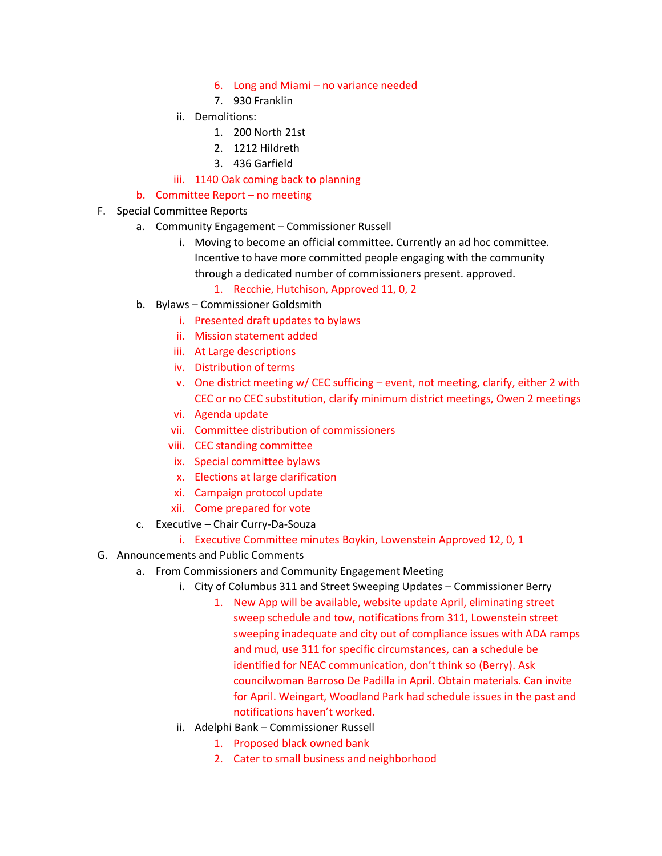- 6. Long and Miami no variance needed
- 7. 930 Franklin
- ii. Demolitions:
	- 1. 200 North 21st
	- 2. 1212 Hildreth
	- 3. 436 Garfield
- iii. 1140 Oak coming back to planning

### b. Committee Report – no meeting

- F. Special Committee Reports
	- a. Community Engagement Commissioner Russell
		- i. Moving to become an official committee. Currently an ad hoc committee. Incentive to have more committed people engaging with the community through a dedicated number of commissioners present. approved.

1. Recchie, Hutchison, Approved 11, 0, 2

- b. Bylaws Commissioner Goldsmith
	- i. Presented draft updates to bylaws
	- ii. Mission statement added
	- iii. At Large descriptions
	- iv. Distribution of terms
	- v. One district meeting w/ CEC sufficing event, not meeting, clarify, either 2 with CEC or no CEC substitution, clarify minimum district meetings, Owen 2 meetings
	- vi. Agenda update
	- vii. Committee distribution of commissioners
	- viii. CEC standing committee
	- ix. Special committee bylaws
	- x. Elections at large clarification
	- xi. Campaign protocol update
	- xii. Come prepared for vote
- c. Executive Chair Curry-Da-Souza
	- i. Executive Committee minutes Boykin, Lowenstein Approved 12, 0, 1
- G. Announcements and Public Comments
	- a. From Commissioners and Community Engagement Meeting
		- i. City of Columbus 311 and Street Sweeping Updates Commissioner Berry
			- 1. New App will be available, website update April, eliminating street sweep schedule and tow, notifications from 311, Lowenstein street sweeping inadequate and city out of compliance issues with ADA ramps and mud, use 311 for specific circumstances, can a schedule be identified for NEAC communication, don't think so (Berry). Ask councilwoman Barroso De Padilla in April. Obtain materials. Can invite for April. Weingart, Woodland Park had schedule issues in the past and notifications haven't worked.
		- ii. Adelphi Bank Commissioner Russell
			- 1. Proposed black owned bank
			- 2. Cater to small business and neighborhood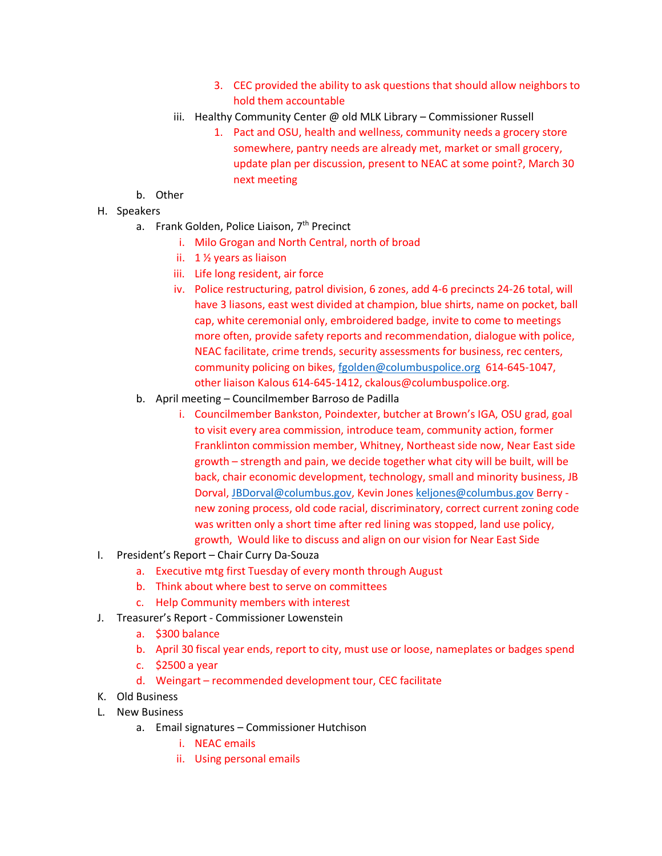- 3. CEC provided the ability to ask questions that should allow neighbors to hold them accountable
- iii. Healthy Community Center @ old MLK Library Commissioner Russell
	- 1. Pact and OSU, health and wellness, community needs a grocery store somewhere, pantry needs are already met, market or small grocery, update plan per discussion, present to NEAC at some point?, March 30 next meeting
- b. Other
- H. Speakers
	- a. Frank Golden, Police Liaison, 7<sup>th</sup> Precinct
		- i. Milo Grogan and North Central, north of broad
		- ii. 1 ½ years as liaison
		- iii. Life long resident, air force
		- iv. Police restructuring, patrol division, 6 zones, add 4-6 precincts 24-26 total, will have 3 liasons, east west divided at champion, blue shirts, name on pocket, ball cap, white ceremonial only, embroidered badge, invite to come to meetings more often, provide safety reports and recommendation, dialogue with police, NEAC facilitate, crime trends, security assessments for business, rec centers, community policing on bikes, [fgolden@columbuspolice.org](mailto:fgolden@columbuspolice.org) 614-645-1047, other liaison Kalous 614-645-1412, ckalous@columbuspolice.org.
	- b. April meeting Councilmember Barroso de Padilla
		- i. Councilmember Bankston, Poindexter, butcher at Brown's IGA, OSU grad, goal to visit every area commission, introduce team, community action, former Franklinton commission member, Whitney, Northeast side now, Near East side growth – strength and pain, we decide together what city will be built, will be back, chair economic development, technology, small and minority business, JB Dorval[, JBDorval@columbus.gov,](mailto:JBDorval@columbus.gov) Kevin Jone[s keljones@columbus.gov](mailto:keljones@columbus.gov) Berry new zoning process, old code racial, discriminatory, correct current zoning code was written only a short time after red lining was stopped, land use policy, growth, Would like to discuss and align on our vision for Near East Side
- I. President's Report Chair Curry Da-Souza
	- a. Executive mtg first Tuesday of every month through August
	- b. Think about where best to serve on committees
	- c. Help Community members with interest
- J. Treasurer's Report Commissioner Lowenstein
	- a. \$300 balance
	- b. April 30 fiscal year ends, report to city, must use or loose, nameplates or badges spend
	- c. \$2500 a year
	- d. Weingart recommended development tour, CEC facilitate
- K. Old Business
- L. New Business
	- a. Email signatures Commissioner Hutchison
		- i. NEAC emails
		- ii. Using personal emails